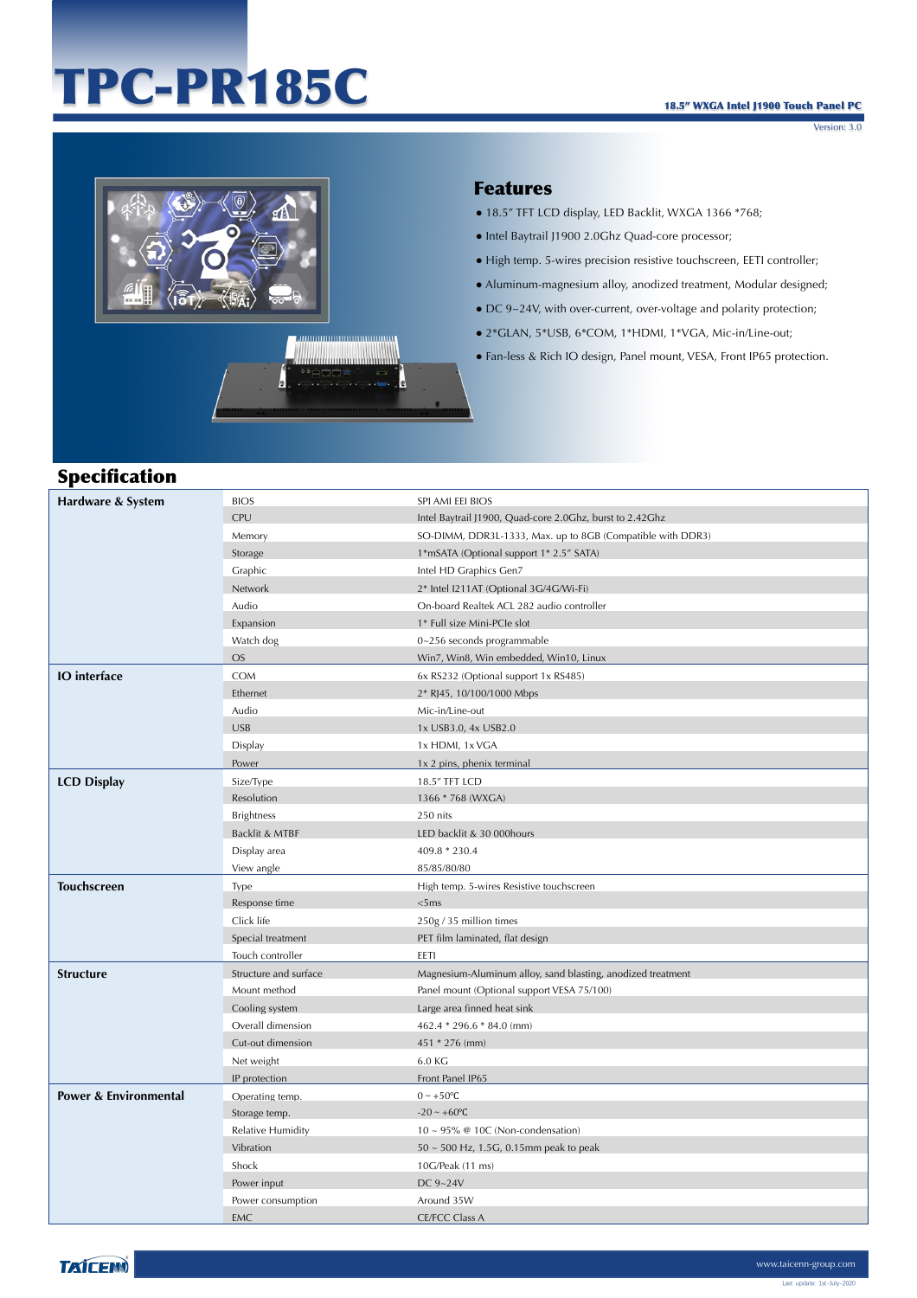# TPC-PR185C

Version: 3.0



Å

#### Features

- 18.5" TFT LCD display, LED Backlit, WXGA 1366 \*768;
- Intel Baytrail J1900 2.0Ghz Quad-core processor;
- High temp. 5-wires precision resistive touchscreen, EETI controller;
- Aluminum-magnesium alloy, anodized treatment, Modular designed;
- DC 9~24V, with over-current, over-voltage and polarity protection;
- 2\*GLAN, 5\*USB, 6\*COM, 1\*HDMI, 1\*VGA, Mic-in/Line-out;
- Fan-less & Rich IO design, Panel mount, VESA, Front IP65 protection.



| Hardware & System     | <b>BIOS</b>           | SPI AMI EEI BIOS                                            |
|-----------------------|-----------------------|-------------------------------------------------------------|
|                       | <b>CPU</b>            | Intel Baytrail J1900, Quad-core 2.0Ghz, burst to 2.42Ghz    |
|                       | Memory                | SO-DIMM, DDR3L-1333, Max. up to 8GB (Compatible with DDR3)  |
|                       | Storage               | 1*mSATA (Optional support 1* 2.5" SATA)                     |
|                       | Graphic               | Intel HD Graphics Gen7                                      |
|                       | Network               | 2* Intel I211AT (Optional 3G/4G/Wi-Fi)                      |
|                       | Audio                 | On-board Realtek ACL 282 audio controller                   |
|                       | Expansion             | 1* Full size Mini-PCIe slot                                 |
|                       | Watch dog             | 0~256 seconds programmable                                  |
|                       | <b>OS</b>             | Win7, Win8, Win embedded, Win10, Linux                      |
| <b>IO</b> interface   | COM                   | 6x RS232 (Optional support 1x RS485)                        |
|                       | Ethernet              | 2* RJ45, 10/100/1000 Mbps                                   |
|                       | Audio                 | Mic-in/Line-out                                             |
|                       | <b>USB</b>            | 1x USB3.0, 4x USB2.0                                        |
|                       | Display               | 1x HDMI, 1x VGA                                             |
|                       | Power                 | 1x 2 pins, phenix terminal                                  |
| <b>LCD Display</b>    | Size/Type             | 18.5" TFT LCD                                               |
|                       | Resolution            | 1366 * 768 (WXGA)                                           |
|                       | <b>Brightness</b>     | 250 nits                                                    |
|                       | Backlit & MTBF        | LED backlit & 30 000hours                                   |
|                       | Display area          | 409.8 * 230.4                                               |
|                       | View angle            | 85/85/80/80                                                 |
| <b>Touchscreen</b>    | Type                  | High temp. 5-wires Resistive touchscreen                    |
|                       | Response time         | <5ms                                                        |
|                       | Click life            | 250g / 35 million times                                     |
|                       | Special treatment     | PET film laminated, flat design                             |
|                       | Touch controller      | EETI                                                        |
| <b>Structure</b>      | Structure and surface | Magnesium-Aluminum alloy, sand blasting, anodized treatment |
|                       | Mount method          | Panel mount (Optional support VESA 75/100)                  |
|                       | Cooling system        | Large area finned heat sink                                 |
|                       | Overall dimension     | 462.4 * 296.6 * 84.0 (mm)                                   |
|                       | Cut-out dimension     | 451 * 276 (mm)                                              |
|                       | Net weight            | 6.0 KG                                                      |
|                       | IP protection         | Front Panel IP65                                            |
| Power & Environmental | Operating temp.       | $0 \sim +50$ °C                                             |
|                       | Storage temp.         | $-20 \sim +60$ °C                                           |
|                       | Relative Humidity     | $10 \sim 95\%$ @ 10C (Non-condensation)                     |
|                       | Vibration             | $50 \sim 500$ Hz, 1.5G, 0.15mm peak to peak                 |
|                       | Shock                 | 10G/Peak (11 ms)                                            |
|                       | Power input           | DC 9~24V                                                    |
|                       | Power consumption     | Around 35W                                                  |
|                       | EMC                   | <b>CE/FCC Class A</b>                                       |